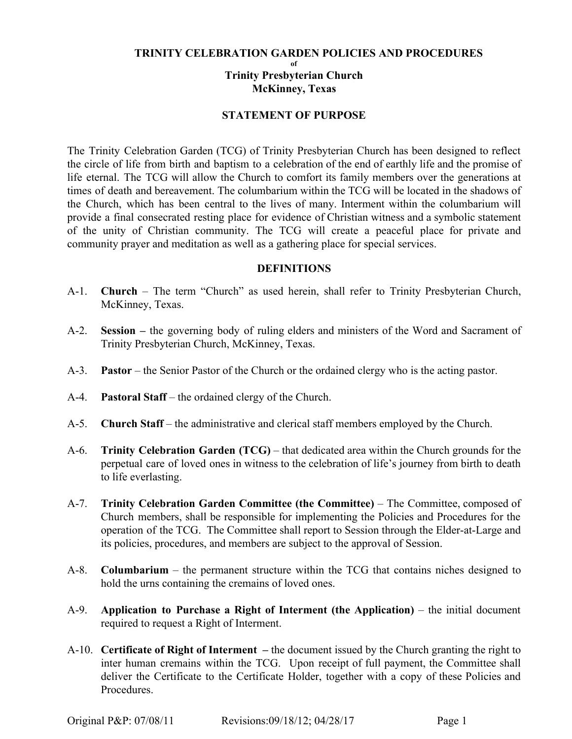## **TRINITY CELEBRATION GARDEN POLICIES AND PROCEDURES**

**of**

**Trinity Presbyterian Church McKinney, Texas**

## **STATEMENT OF PURPOSE**

The Trinity Celebration Garden (TCG) of Trinity Presbyterian Church has been designed to reflect the circle of life from birth and baptism to a celebration of the end of earthly life and the promise of life eternal. The TCG will allow the Church to comfort its family members over the generations at times of death and bereavement. The columbarium within the TCG will be located in the shadows of the Church, which has been central to the lives of many. Interment within the columbarium will provide a final consecrated resting place for evidence of Christian witness and a symbolic statement of the unity of Christian community. The TCG will create a peaceful place for private and community prayer and meditation as well as a gathering place for special services.

## **DEFINITIONS**

- A-1. **Church** The term "Church" as used herein, shall refer to Trinity Presbyterian Church, McKinney, Texas.
- A-2. **Session –** the governing body of ruling elders and ministers of the Word and Sacrament of Trinity Presbyterian Church, McKinney, Texas.
- A-3. **Pastor** the Senior Pastor of the Church or the ordained clergy who is the acting pastor.
- A-4. **Pastoral Staff**  the ordained clergy of the Church.
- A-5. **Church Staff**  the administrative and clerical staff members employed by the Church.
- A-6. **Trinity Celebration Garden (TCG)** that dedicated area within the Church grounds for the perpetual care of loved ones in witness to the celebration of life's journey from birth to death to life everlasting.
- A-7. **Trinity Celebration Garden Committee (the Committee)** The Committee, composed of Church members, shall be responsible for implementing the Policies and Procedures for the operation of the TCG. The Committee shall report to Session through the Elder-at-Large and its policies, procedures, and members are subject to the approval of Session.
- A-8. **Columbarium** the permanent structure within the TCG that contains niches designed to hold the urns containing the cremains of loved ones.
- A-9. **Application to Purchase a Right of Interment (the Application)** the initial document required to request a Right of Interment.
- A-10. **Certificate of Right of Interment –** the document issued by the Church granting the right to inter human cremains within the TCG. Upon receipt of full payment, the Committee shall deliver the Certificate to the Certificate Holder, together with a copy of these Policies and **Procedures**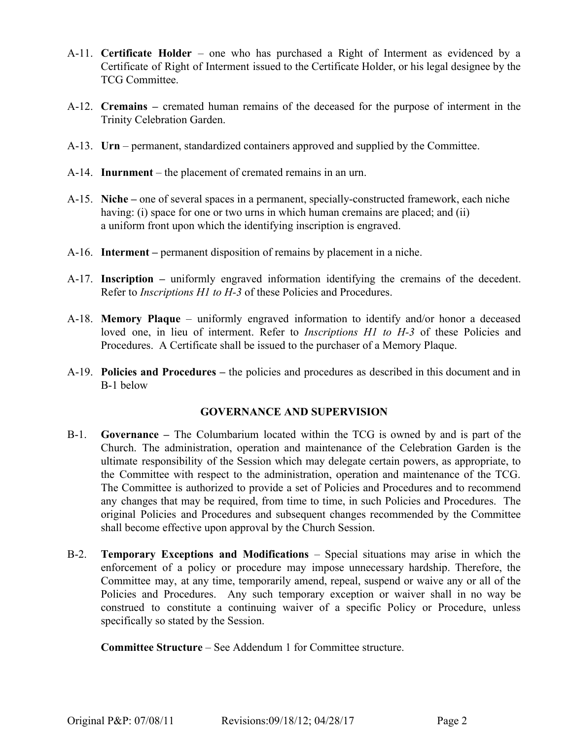- A-11. **Certificate Holder** one who has purchased a Right of Interment as evidenced by a Certificate of Right of Interment issued to the Certificate Holder, or his legal designee by the TCG Committee.
- A-12. **Cremains –** cremated human remains of the deceased for the purpose of interment in the Trinity Celebration Garden.
- A-13. **Urn**  permanent, standardized containers approved and supplied by the Committee.
- A-14. **Inurnment** the placement of cremated remains in an urn.
- A-15. **Niche** one of several spaces in a permanent, specially-constructed framework, each niche having: (i) space for one or two urns in which human cremains are placed; and (ii) a uniform front upon which the identifying inscription is engraved.
- A-16. **Interment** permanent disposition of remains by placement in a niche.
- A-17. **Inscription –** uniformly engraved information identifying the cremains of the decedent. Refer to *Inscriptions H1 to H-3* of these Policies and Procedures.
- A-18. **Memory Plaque** uniformly engraved information to identify and/or honor a deceased loved one, in lieu of interment. Refer to *Inscriptions H1 to H-3* of these Policies and Procedures. A Certificate shall be issued to the purchaser of a Memory Plaque.
- A-19. **Policies and Procedures –** the policies and procedures as described in this document and in B-1 below

### **GOVERNANCE AND SUPERVISION**

- B-1. **Governance –** The Columbarium located within the TCG is owned by and is part of the Church. The administration, operation and maintenance of the Celebration Garden is the ultimate responsibility of the Session which may delegate certain powers, as appropriate, to the Committee with respect to the administration, operation and maintenance of the TCG. The Committee is authorized to provide a set of Policies and Procedures and to recommend any changes that may be required, from time to time, in such Policies and Procedures. The original Policies and Procedures and subsequent changes recommended by the Committee shall become effective upon approval by the Church Session.
- B-2. **Temporary Exceptions and Modifications** Special situations may arise in which the enforcement of a policy or procedure may impose unnecessary hardship. Therefore, the Committee may, at any time, temporarily amend, repeal, suspend or waive any or all of the Policies and Procedures. Any such temporary exception or waiver shall in no way be construed to constitute a continuing waiver of a specific Policy or Procedure, unless specifically so stated by the Session.

**Committee Structure** – See Addendum 1 for Committee structure.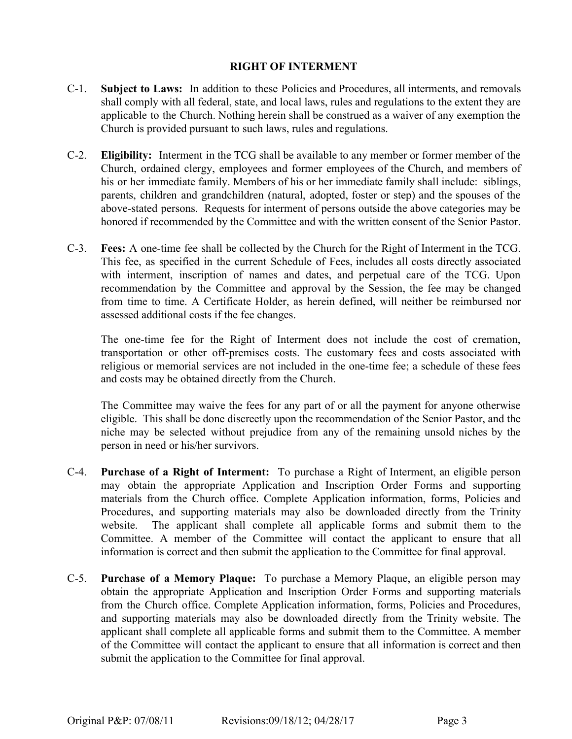## **RIGHT OF INTERMENT**

- C-1. **Subject to Laws:** In addition to these Policies and Procedures, all interments, and removals shall comply with all federal, state, and local laws, rules and regulations to the extent they are applicable to the Church. Nothing herein shall be construed as a waiver of any exemption the Church is provided pursuant to such laws, rules and regulations.
- C-2. **Eligibility:** Interment in the TCG shall be available to any member or former member of the Church, ordained clergy, employees and former employees of the Church, and members of his or her immediate family. Members of his or her immediate family shall include: siblings, parents, children and grandchildren (natural, adopted, foster or step) and the spouses of the above-stated persons. Requests for interment of persons outside the above categories may be honored if recommended by the Committee and with the written consent of the Senior Pastor.
- C-3. **Fees:** A one-time fee shall be collected by the Church for the Right of Interment in the TCG. This fee, as specified in the current Schedule of Fees, includes all costs directly associated with interment, inscription of names and dates, and perpetual care of the TCG. Upon recommendation by the Committee and approval by the Session, the fee may be changed from time to time. A Certificate Holder, as herein defined, will neither be reimbursed nor assessed additional costs if the fee changes.

The one-time fee for the Right of Interment does not include the cost of cremation, transportation or other off-premises costs. The customary fees and costs associated with religious or memorial services are not included in the one-time fee; a schedule of these fees and costs may be obtained directly from the Church.

The Committee may waive the fees for any part of or all the payment for anyone otherwise eligible. This shall be done discreetly upon the recommendation of the Senior Pastor, and the niche may be selected without prejudice from any of the remaining unsold niches by the person in need or his/her survivors.

- C-4. **Purchase of a Right of Interment:** To purchase a Right of Interment, an eligible person may obtain the appropriate Application and Inscription Order Forms and supporting materials from the Church office. Complete Application information, forms, Policies and Procedures, and supporting materials may also be downloaded directly from the Trinity website. The applicant shall complete all applicable forms and submit them to the Committee. A member of the Committee will contact the applicant to ensure that all information is correct and then submit the application to the Committee for final approval.
- C-5. **Purchase of a Memory Plaque:** To purchase a Memory Plaque, an eligible person may obtain the appropriate Application and Inscription Order Forms and supporting materials from the Church office. Complete Application information, forms, Policies and Procedures, and supporting materials may also be downloaded directly from the Trinity website. The applicant shall complete all applicable forms and submit them to the Committee. A member of the Committee will contact the applicant to ensure that all information is correct and then submit the application to the Committee for final approval.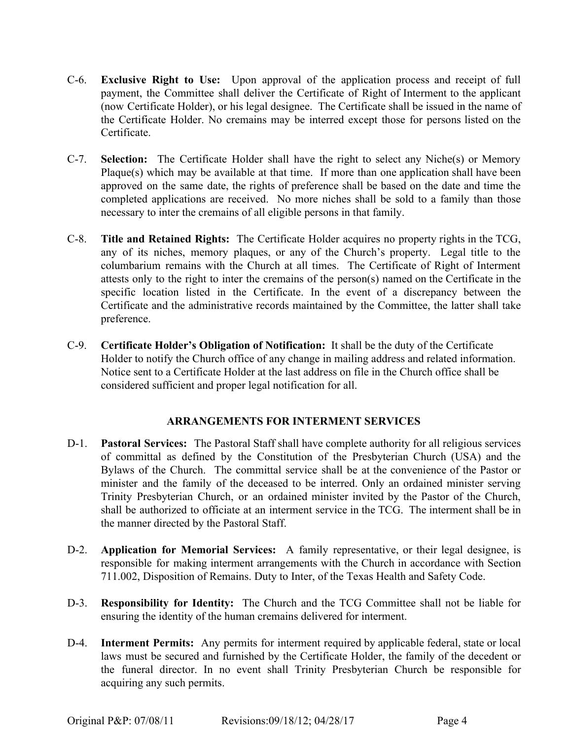- C-6. **Exclusive Right to Use:** Upon approval of the application process and receipt of full payment, the Committee shall deliver the Certificate of Right of Interment to the applicant (now Certificate Holder), or his legal designee. The Certificate shall be issued in the name of the Certificate Holder. No cremains may be interred except those for persons listed on the **Certificate**
- C-7. **Selection:** The Certificate Holder shall have the right to select any Niche(s) or Memory Plaque(s) which may be available at that time. If more than one application shall have been approved on the same date, the rights of preference shall be based on the date and time the completed applications are received. No more niches shall be sold to a family than those necessary to inter the cremains of all eligible persons in that family.
- C-8. **Title and Retained Rights:** The Certificate Holder acquires no property rights in the TCG, any of its niches, memory plaques, or any of the Church's property. Legal title to the columbarium remains with the Church at all times. The Certificate of Right of Interment attests only to the right to inter the cremains of the person(s) named on the Certificate in the specific location listed in the Certificate. In the event of a discrepancy between the Certificate and the administrative records maintained by the Committee, the latter shall take preference.
- C-9. **Certificate Holder's Obligation of Notification:** It shall be the duty of the Certificate Holder to notify the Church office of any change in mailing address and related information. Notice sent to a Certificate Holder at the last address on file in the Church office shall be considered sufficient and proper legal notification for all.

# **ARRANGEMENTS FOR INTERMENT SERVICES**

- D-1. **Pastoral Services:** The Pastoral Staff shall have complete authority for all religious services of committal as defined by the Constitution of the Presbyterian Church (USA) and the Bylaws of the Church. The committal service shall be at the convenience of the Pastor or minister and the family of the deceased to be interred. Only an ordained minister serving Trinity Presbyterian Church, or an ordained minister invited by the Pastor of the Church, shall be authorized to officiate at an interment service in the TCG. The interment shall be in the manner directed by the Pastoral Staff.
- D-2. **Application for Memorial Services:** A family representative, or their legal designee, is responsible for making interment arrangements with the Church in accordance with Section 711.002, Disposition of Remains. Duty to Inter, of the Texas Health and Safety Code.
- D-3. **Responsibility for Identity:** The Church and the TCG Committee shall not be liable for ensuring the identity of the human cremains delivered for interment.
- D-4. **Interment Permits:** Any permits for interment required by applicable federal, state or local laws must be secured and furnished by the Certificate Holder, the family of the decedent or the funeral director. In no event shall Trinity Presbyterian Church be responsible for acquiring any such permits.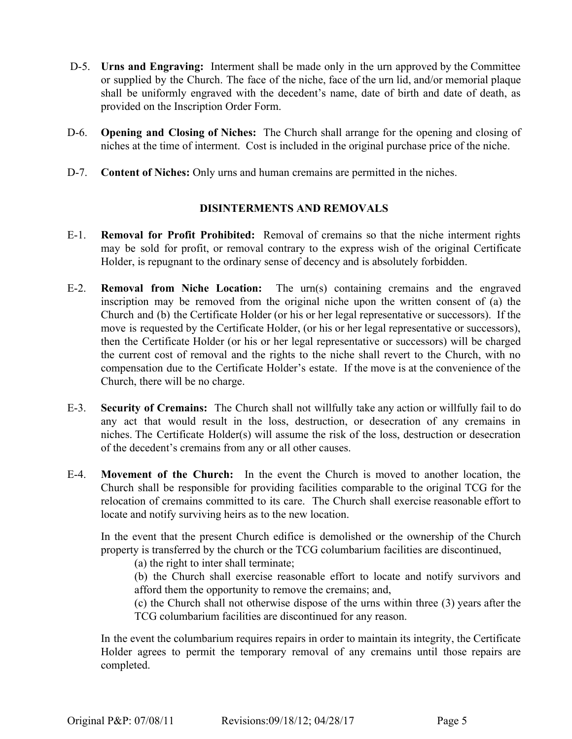- D-5. **Urns and Engraving:** Interment shall be made only in the urn approved by the Committee or supplied by the Church. The face of the niche, face of the urn lid, and/or memorial plaque shall be uniformly engraved with the decedent's name, date of birth and date of death, as provided on the Inscription Order Form.
- D-6. **Opening and Closing of Niches:** The Church shall arrange for the opening and closing of niches at the time of interment. Cost is included in the original purchase price of the niche.
- D-7. **Content of Niches:** Only urns and human cremains are permitted in the niches.

# **DISINTERMENTS AND REMOVALS**

- E-1. **Removal for Profit Prohibited:** Removal of cremains so that the niche interment rights may be sold for profit, or removal contrary to the express wish of the original Certificate Holder, is repugnant to the ordinary sense of decency and is absolutely forbidden.
- E-2. **Removal from Niche Location:** The urn(s) containing cremains and the engraved inscription may be removed from the original niche upon the written consent of (a) the Church and (b) the Certificate Holder (or his or her legal representative or successors). If the move is requested by the Certificate Holder, (or his or her legal representative or successors), then the Certificate Holder (or his or her legal representative or successors) will be charged the current cost of removal and the rights to the niche shall revert to the Church, with no compensation due to the Certificate Holder's estate. If the move is at the convenience of the Church, there will be no charge.
- E-3. **Security of Cremains:** The Church shall not willfully take any action or willfully fail to do any act that would result in the loss, destruction, or desecration of any cremains in niches. The Certificate Holder(s) will assume the risk of the loss, destruction or desecration of the decedent's cremains from any or all other causes.
- E-4. **Movement of the Church:** In the event the Church is moved to another location, the Church shall be responsible for providing facilities comparable to the original TCG for the relocation of cremains committed to its care. The Church shall exercise reasonable effort to locate and notify surviving heirs as to the new location.

In the event that the present Church edifice is demolished or the ownership of the Church property is transferred by the church or the TCG columbarium facilities are discontinued,

(a) the right to inter shall terminate;

(b) the Church shall exercise reasonable effort to locate and notify survivors and afford them the opportunity to remove the cremains; and,

(c) the Church shall not otherwise dispose of the urns within three (3) years after the TCG columbarium facilities are discontinued for any reason.

In the event the columbarium requires repairs in order to maintain its integrity, the Certificate Holder agrees to permit the temporary removal of any cremains until those repairs are completed.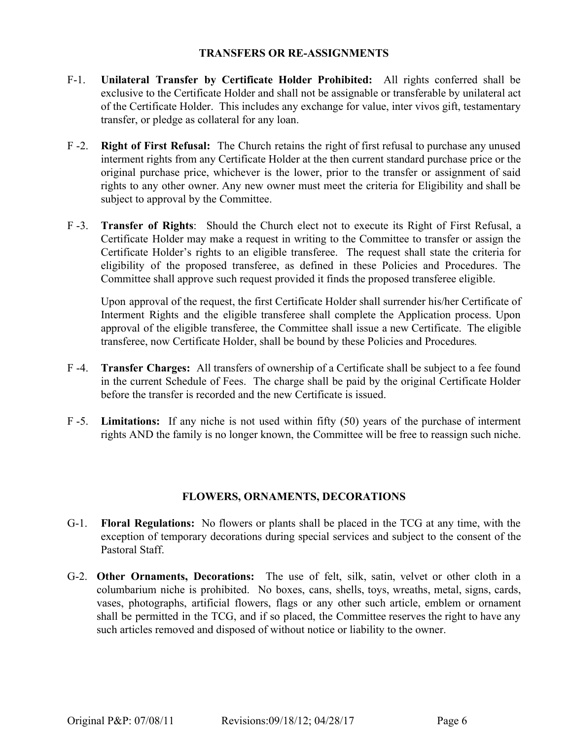## **TRANSFERS OR RE-ASSIGNMENTS**

- F-1. **Unilateral Transfer by Certificate Holder Prohibited:** All rights conferred shall be exclusive to the Certificate Holder and shall not be assignable or transferable by unilateral act of the Certificate Holder. This includes any exchange for value, inter vivos gift, testamentary transfer, or pledge as collateral for any loan.
- F -2. **Right of First Refusal:** The Church retains the right of first refusal to purchase any unused interment rights from any Certificate Holder at the then current standard purchase price or the original purchase price, whichever is the lower, prior to the transfer or assignment of said rights to any other owner. Any new owner must meet the criteria for Eligibility and shall be subject to approval by the Committee.
- F -3. **Transfer of Rights**: Should the Church elect not to execute its Right of First Refusal, a Certificate Holder may make a request in writing to the Committee to transfer or assign the Certificate Holder's rights to an eligible transferee. The request shall state the criteria for eligibility of the proposed transferee, as defined in these Policies and Procedures. The Committee shall approve such request provided it finds the proposed transferee eligible.

Upon approval of the request, the first Certificate Holder shall surrender his/her Certificate of Interment Rights and the eligible transferee shall complete the Application process. Upon approval of the eligible transferee, the Committee shall issue a new Certificate. The eligible transferee, now Certificate Holder, shall be bound by these Policies and Procedures*.*

- F -4. **Transfer Charges:** All transfers of ownership of a Certificate shall be subject to a fee found in the current Schedule of Fees. The charge shall be paid by the original Certificate Holder before the transfer is recorded and the new Certificate is issued.
- F -5. **Limitations:** If any niche is not used within fifty (50) years of the purchase of interment rights AND the family is no longer known, the Committee will be free to reassign such niche.

# **FLOWERS, ORNAMENTS, DECORATIONS**

- G-1. **Floral Regulations:** No flowers or plants shall be placed in the TCG at any time, with the exception of temporary decorations during special services and subject to the consent of the Pastoral Staff.
- G-2. **Other Ornaments, Decorations:** The use of felt, silk, satin, velvet or other cloth in a columbarium niche is prohibited. No boxes, cans, shells, toys, wreaths, metal, signs, cards, vases, photographs, artificial flowers, flags or any other such article, emblem or ornament shall be permitted in the TCG, and if so placed, the Committee reserves the right to have any such articles removed and disposed of without notice or liability to the owner.